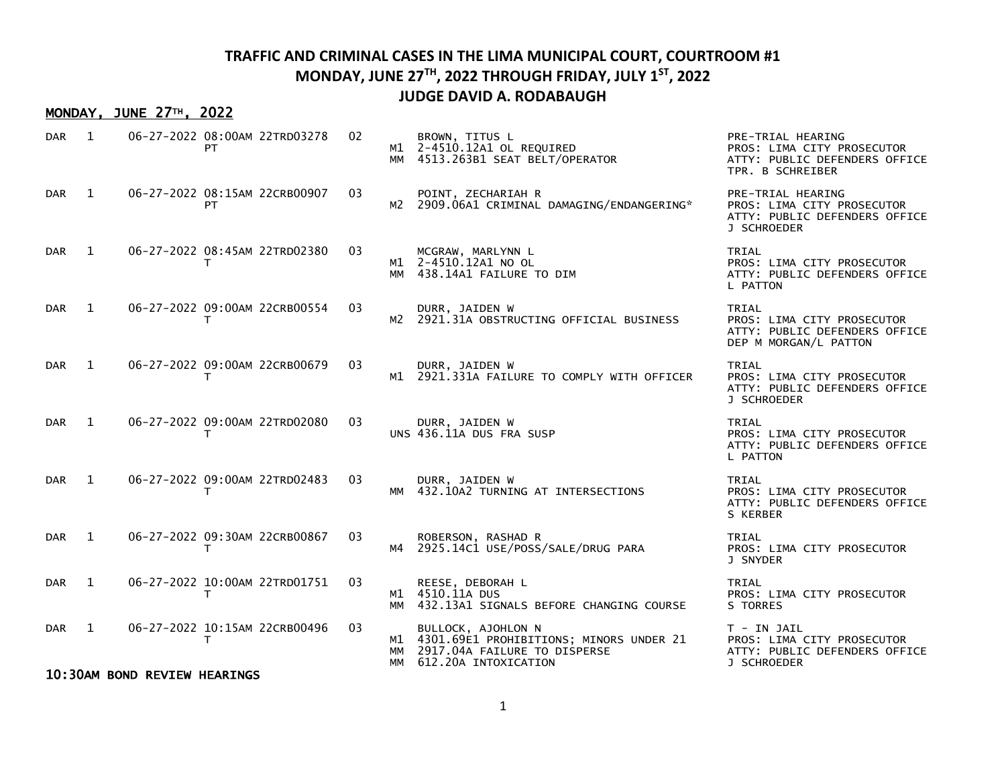#### MONDAY, JUNE 27TH, 2022

| <b>DAR</b> | 1            |                              | 06-27-2022 08:00AM 22TRD03278<br>PT | 02 | МM | BROWN, TITUS L<br>M1 2-4510.12A1 OL REQUIRED<br>4513.263B1 SEAT BELT/OPERATOR                                               | PRE-TRIAL HEARING<br>PROS: LIMA CITY PROSECUTOR<br>ATTY: PUBLIC DEFENDERS OFFICE<br>TPR. B SCHREIBER |
|------------|--------------|------------------------------|-------------------------------------|----|----|-----------------------------------------------------------------------------------------------------------------------------|------------------------------------------------------------------------------------------------------|
| <b>DAR</b> | 1            |                              | 06-27-2022 08:15AM 22CRB00907<br>PT | 03 | м2 | POINT, ZECHARIAH R<br>2909.06A1 CRIMINAL DAMAGING/ENDANGERING*                                                              | PRE-TRIAL HEARING<br>PROS: LIMA CITY PROSECUTOR<br>ATTY: PUBLIC DEFENDERS OFFICE<br>J SCHROEDER      |
| <b>DAR</b> | 1            |                              | 06-27-2022 08:45AM 22TRD02380<br>т  | 03 |    | MCGRAW, MARLYNN L<br>M1 2-4510.12A1 NO OL<br>MM 438.14A1 FAILURE TO DIM                                                     | TRIAL<br>PROS: LIMA CITY PROSECUTOR<br>ATTY: PUBLIC DEFENDERS OFFICE<br>L PATTON                     |
| DAR        | 1            |                              | 06-27-2022 09:00AM 22CRB00554<br>Τ  | 03 |    | DURR, JAIDEN W<br>M2 2921.31A OBSTRUCTING OFFICIAL BUSINESS                                                                 | TRIAL<br>PROS: LIMA CITY PROSECUTOR<br>ATTY: PUBLIC DEFENDERS OFFICE<br>DEP M MORGAN/L PATTON        |
| <b>DAR</b> | $\mathbf{1}$ |                              | 06-27-2022 09:00AM 22CRB00679<br>т  | 03 |    | DURR, JAIDEN W<br>M1 2921.331A FAILURE TO COMPLY WITH OFFICER                                                               | TRIAL<br>PROS: LIMA CITY PROSECUTOR<br>ATTY: PUBLIC DEFENDERS OFFICE<br>J SCHROEDER                  |
| DAR        | $\mathbf{1}$ |                              | 06-27-2022 09:00AM 22TRD02080<br>т  | 03 |    | DURR, JAIDEN W<br>UNS 436.11A DUS FRA SUSP                                                                                  | TRIAL<br>PROS: LIMA CITY PROSECUTOR<br>ATTY: PUBLIC DEFENDERS OFFICE<br>L PATTON                     |
| <b>DAR</b> | 1            |                              | 06-27-2022 09:00AM 22TRD02483<br>т  | 03 | ΜМ | DURR, JAIDEN W<br>432.10A2 TURNING AT INTERSECTIONS                                                                         | TRIAL<br>PROS: LIMA CITY PROSECUTOR<br>ATTY: PUBLIC DEFENDERS OFFICE<br>S KERBER                     |
| <b>DAR</b> | $\mathbf{1}$ |                              | 06-27-2022 09:30AM 22CRB00867<br>т  | 03 |    | ROBERSON, RASHAD R<br>M4 2925.14C1 USE/POSS/SALE/DRUG PARA                                                                  | TRIAL<br>PROS: LIMA CITY PROSECUTOR<br>J SNYDER                                                      |
| DAR        | 1            |                              | 06-27-2022 10:00AM 22TRD01751<br>т  | 03 | MM | REESE, DEBORAH L<br>M1 4510.11A DUS<br>432.13A1 SIGNALS BEFORE CHANGING COURSE                                              | TRIAL<br>PROS: LIMA CITY PROSECUTOR<br>S TORRES                                                      |
| <b>DAR</b> | 1            |                              | 06-27-2022 10:15AM 22CRB00496<br>т  | 03 | MM | BULLOCK, AJOHLON N<br>M1 4301.69E1 PROHIBITIONS; MINORS UNDER 21<br>2917.04A FAILURE TO DISPERSE<br>MM 612.20A INTOXICATION | T - IN JAIL<br>PROS: LIMA CITY PROSECUTOR<br>ATTY: PUBLIC DEFENDERS OFFICE<br>J SCHROEDER            |
|            |              | 10:30AM BOND REVIEW HEARINGS |                                     |    |    |                                                                                                                             |                                                                                                      |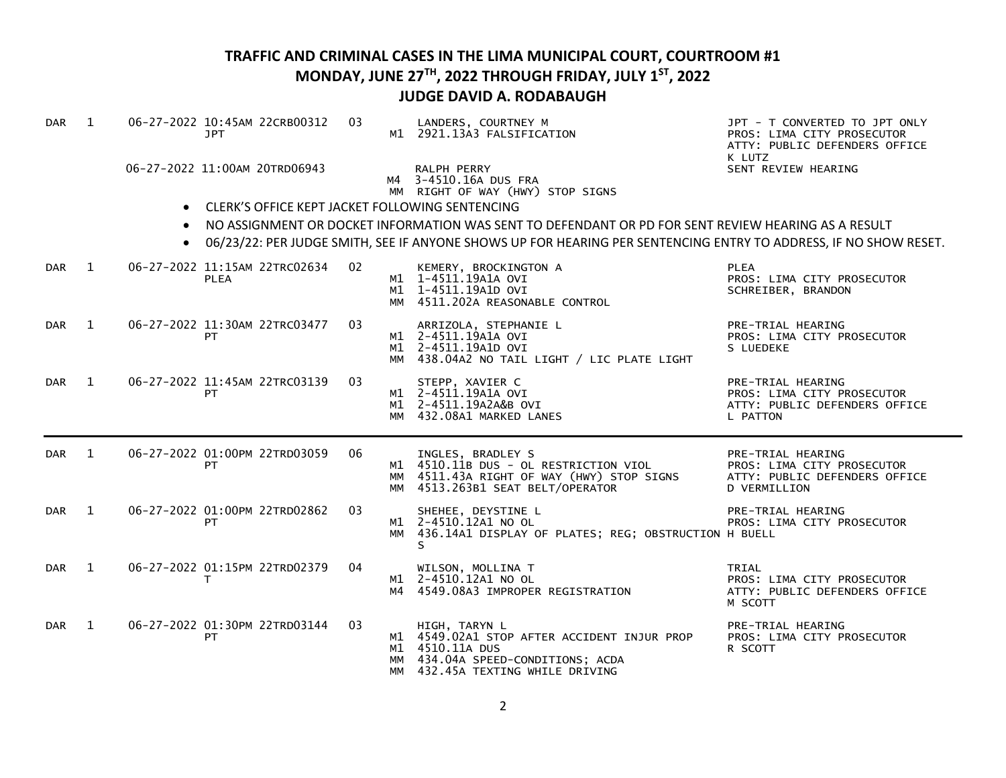| <b>DAR</b> | 1              |           | 06-27-2022 10:45AM 22CRB00312<br>JPT            | 03 | LANDERS, COURTNEY M<br>M1 2921.13A3 FALSIFICATION                                                                                                        | JPT - T CONVERTED TO JPT ONLY<br>PROS: LIMA CITY PROSECUTOR<br>ATTY: PUBLIC DEFENDERS OFFICE<br>K LUTZ  |
|------------|----------------|-----------|-------------------------------------------------|----|----------------------------------------------------------------------------------------------------------------------------------------------------------|---------------------------------------------------------------------------------------------------------|
|            |                |           | 06-27-2022 11:00AM 20TRD06943                   |    | RALPH PERRY<br>M4 3-4510.16A DUS FRA<br>MM RIGHT OF WAY (HWY) STOP SIGNS                                                                                 | SENT REVIEW HEARING                                                                                     |
|            |                | $\bullet$ | CLERK'S OFFICE KEPT JACKET FOLLOWING SENTENCING |    |                                                                                                                                                          |                                                                                                         |
|            |                | $\bullet$ |                                                 |    | NO ASSIGNMENT OR DOCKET INFORMATION WAS SENT TO DEFENDANT OR PD FOR SENT REVIEW HEARING AS A RESULT                                                      |                                                                                                         |
|            |                |           |                                                 |    | 06/23/22: PER JUDGE SMITH, SEE IF ANYONE SHOWS UP FOR HEARING PER SENTENCING ENTRY TO ADDRESS, IF NO SHOW RESET.                                         |                                                                                                         |
| <b>DAR</b> | $\blacksquare$ |           | 06-27-2022 11:15AM 22TRC02634<br><b>PLEA</b>    | 02 | KEMERY, BROCKINGTON A<br>M1 1-4511.19A1A OVI<br>M1 1-4511.19A1D OVI<br>MM 4511.202A REASONABLE CONTROL                                                   | <b>PLEA</b><br>PROS: LIMA CITY PROSECUTOR<br>SCHREIBER, BRANDON                                         |
| DAR        | 1              |           | 06-27-2022 11:30AM 22TRC03477<br><b>PT</b>      | 03 | ARRIZOLA, STEPHANIE L<br>M1 2-4511.19A1A OVI<br>M1 2-4511.19A1D OVI<br>MM 438.04A2 NO TAIL LIGHT / LIC PLATE LIGHT                                       | PRE-TRIAL HEARING<br>PROS: LIMA CITY PROSECUTOR<br>S LUEDEKE                                            |
| DAR        | 1              |           | 06-27-2022 11:45AM 22TRC03139<br>PT             | 03 | STEPP, XAVIER C<br>M1 2-4511.19A1A OVI<br>M1 2-4511.19A2A&B OVI<br>MM 432.08A1 MARKED LANES                                                              | PRE-TRIAL HEARING<br>PROS: LIMA CITY PROSECUTOR<br>ATTY: PUBLIC DEFENDERS OFFICE<br>L PATTON            |
| DAR        | 1              |           | 06-27-2022 01:00PM 22TRD03059<br>PТ             | 06 | INGLES, BRADLEY S<br>M1 4510.11B DUS - OL RESTRICTION VIOL<br>MM 4511.43A RIGHT OF WAY (HWY) STOP SIGNS<br>MM 4513.263B1 SEAT BELT/OPERATOR              | PRE-TRIAL HEARING<br>PROS: LIMA CITY PROSECUTOR<br>ATTY: PUBLIC DEFENDERS OFFICE<br><b>D VERMILLION</b> |
| DAR        | 1              |           | 06-27-2022 01:00PM 22TRD02862<br>PТ             | 03 | SHEHEE, DEYSTINE L<br>M1 2-4510.12A1 NO OL<br>MM 436.14A1 DISPLAY OF PLATES; REG; OBSTRUCTION H BUELL<br>S                                               | PRE-TRIAL HEARING<br>PROS: LIMA CITY PROSECUTOR                                                         |
| DAR        | $\overline{1}$ |           | 06-27-2022 01:15PM 22TRD02379<br>т              | 04 | WILSON, MOLLINA T<br>M1 2-4510.12A1 NO OL<br>M4 4549.08A3 IMPROPER REGISTRATION                                                                          | TRIAL<br>PROS: LIMA CITY PROSECUTOR<br>ATTY: PUBLIC DEFENDERS OFFICE<br>M SCOTT                         |
| <b>DAR</b> | $\mathbf{1}$   |           | 06-27-2022 01:30PM 22TRD03144<br>PT             | 03 | HIGH, TARYN L<br>M1 4549.02A1 STOP AFTER ACCIDENT INJUR PROP<br>M1 4510.11A DUS<br>MM 434.04A SPEED-CONDITIONS; ACDA<br>MM 432.45A TEXTING WHILE DRIVING | PRE-TRIAL HEARING<br>PROS: LIMA CITY PROSECUTOR<br>R SCOTT                                              |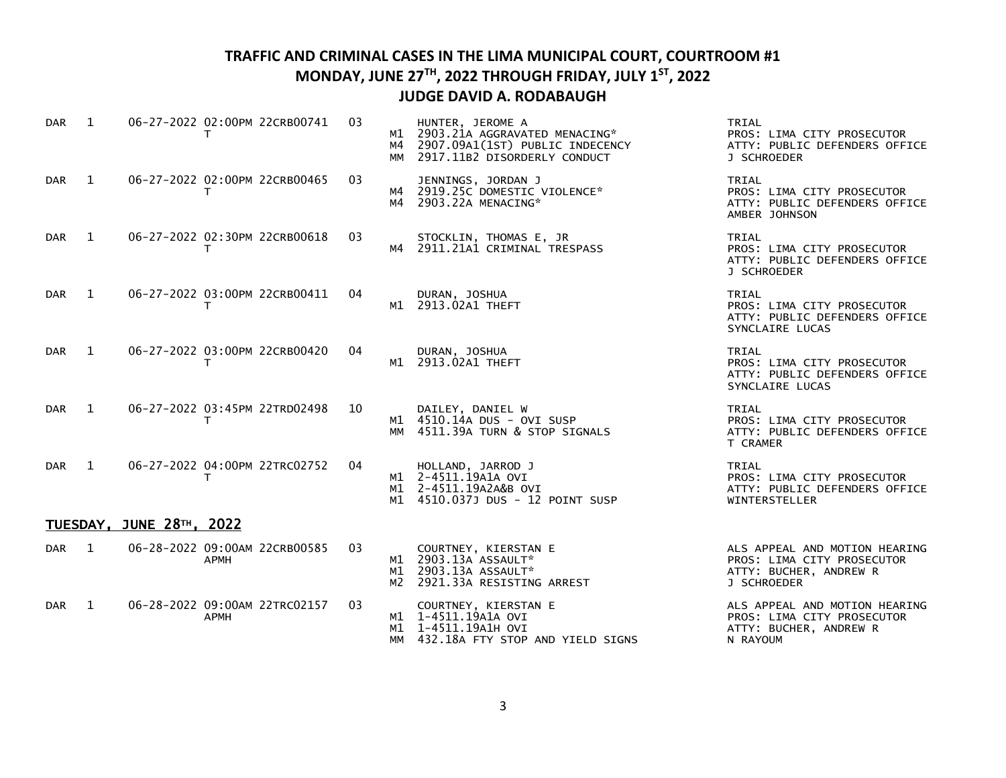| <b>DAR</b>       | $\mathbf{1}$ | 06-27-2022 02:00PM 22CRB00741<br>т            | 03 | HUNTER, JEROME A<br>M1 2903.21A AGGRAVATED MENACING*<br>M4 2907.09A1(1ST) PUBLIC INDECENCY<br>MM 2917.11B2 DISORDERLY CONDUCT | TRIAL<br>PROS: LIMA CITY PROSECUTOR<br>ATTY: PUBLIC DEFENDERS OFFICE<br>J SCHROEDER                  |
|------------------|--------------|-----------------------------------------------|----|-------------------------------------------------------------------------------------------------------------------------------|------------------------------------------------------------------------------------------------------|
| DAR <sub>1</sub> |              | 06-27-2022 02:00PM 22CRB00465<br>T.           | 03 | JENNINGS, JORDAN J<br>M4 2919.25C DOMESTIC VIOLENCE*<br>M4 2903.22A MENACING*                                                 | TRIAL<br>PROS: LIMA CITY PROSECUTOR<br>ATTY: PUBLIC DEFENDERS OFFICE<br>AMBER JOHNSON                |
| DAR 1            |              | 06-27-2022 02:30PM 22CRB00618<br>T.           | 03 | STOCKLIN, THOMAS E, JR<br>M4 2911.21A1 CRIMINAL TRESPASS                                                                      | TRIAL<br>PROS: LIMA CITY PROSECUTOR<br>ATTY: PUBLIC DEFENDERS OFFICE<br>J SCHROEDER                  |
| DAR <sub>1</sub> |              | 06-27-2022 03:00PM 22CRB00411<br>T.           | 04 | DURAN, JOSHUA<br>M1 2913.02A1 THEFT                                                                                           | TRIAL<br>PROS: LIMA CITY PROSECUTOR<br>ATTY: PUBLIC DEFENDERS OFFICE<br>SYNCLAIRE LUCAS              |
| DAR 1            |              | 06-27-2022 03:00PM 22CRB00420<br>т            | 04 | DURAN, JOSHUA<br>M1 2913.02A1 THEFT                                                                                           | TRIAL<br>PROS: LIMA CITY PROSECUTOR<br>ATTY: PUBLIC DEFENDERS OFFICE<br>SYNCLAIRE LUCAS              |
| DAR <sub>1</sub> |              | 06-27-2022 03:45PM 22TRD02498<br>$\mathsf{T}$ | 10 | DAILEY, DANIEL W<br>M1 4510.14A DUS - OVI SUSP<br>MM 4511.39A TURN & STOP SIGNALS                                             | TRIAL<br>PROS: LIMA CITY PROSECUTOR<br>ATTY: PUBLIC DEFENDERS OFFICE<br>T CRAMER                     |
| DAR <sub>1</sub> |              | 06-27-2022 04:00PM 22TRC02752<br>т            | 04 | HOLLAND, JARROD J<br>M1 2-4511.19A1A OVI<br>M1 2-4511.19A2A&B OVI<br>M1 4510.037J DUS - 12 POINT SUSP                         | TRIAL<br>PROS: LIMA CITY PROSECUTOR<br>ATTY: PUBLIC DEFENDERS OFFICE<br>WINTERSTELLER                |
|                  |              | TUESDAY, JUNE 28TH, 2022                      |    |                                                                                                                               |                                                                                                      |
| DAR <sub>1</sub> |              | 06-28-2022 09:00AM 22CRB00585<br>APMH         | 03 | COURTNEY, KIERSTAN E<br>M1 2903.13A ASSAULT*<br>M1 2903.13A ASSAULT*<br>M2 2921.33A RESISTING ARREST                          | ALS APPEAL AND MOTION HEARING<br>PROS: LIMA CITY PROSECUTOR<br>ATTY: BUCHER, ANDREW R<br>J SCHROEDER |
| DAR <sub>1</sub> |              | 06-28-2022 09:00AM 22TRC02157<br><b>APMH</b>  | 03 | COURTNEY, KIERSTAN E<br>M1 1-4511.19A1A OVI<br>M1 1-4511.19A1H OVI<br>MM 432.18A FTY STOP AND YIELD SIGNS                     | ALS APPEAL AND MOTION HEARING<br>PROS: LIMA CITY PROSECUTOR<br>ATTY: BUCHER, ANDREW R<br>N RAYOUM    |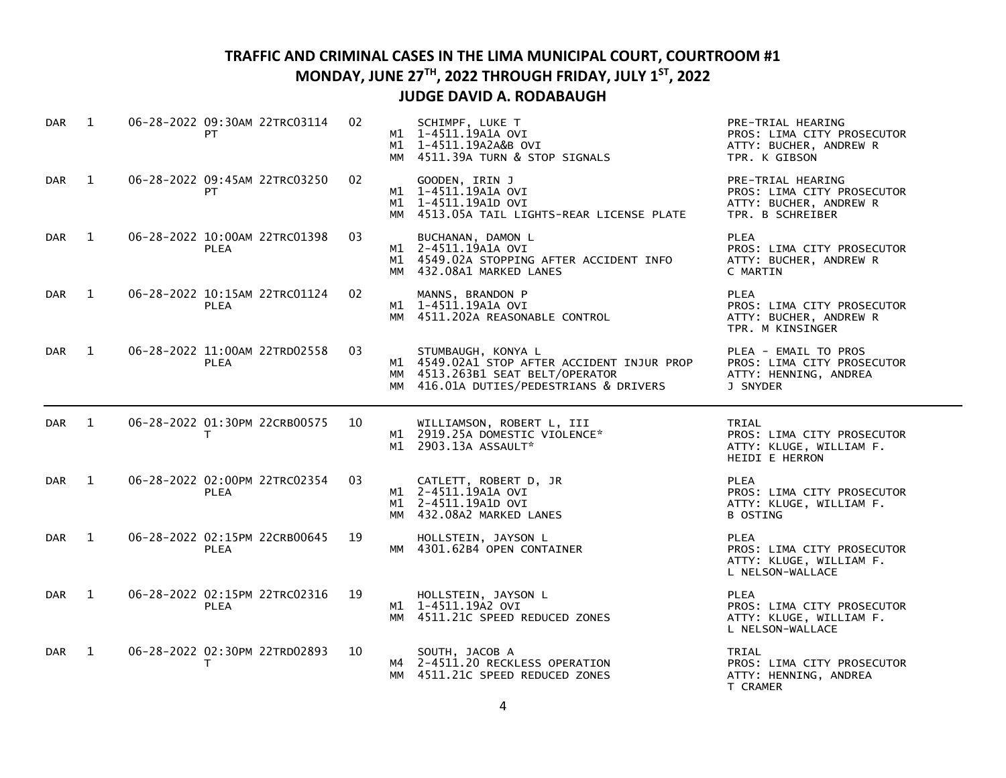| <b>DAR</b>       | 1            | 06-28-2022 09:30AM 22TRC03114<br>PT          | 02 |    | SCHIMPF, LUKE T<br>M1 1-4511.19A1A OVI<br>M1 1-4511.19A2A&B OVI<br>MM 4511.39A TURN & STOP SIGNALS                                               | PRE-TRIAL HEARING<br>PROS: LIMA CITY PROSECUTOR<br>ATTY: BUCHER, ANDREW R<br>TPR. K GIBSON    |
|------------------|--------------|----------------------------------------------|----|----|--------------------------------------------------------------------------------------------------------------------------------------------------|-----------------------------------------------------------------------------------------------|
| DAR              | 1            | 06-28-2022 09:45AM 22TRC03250<br>PT          | 02 |    | GOODEN, IRIN J<br>M1 1-4511.19A1A OVI<br>M1 1-4511.19A1D OVI<br>MM 4513.05A TAIL LIGHTS-REAR LICENSE PLATE                                       | PRE-TRIAL HEARING<br>PROS: LIMA CITY PROSECUTOR<br>ATTY: BUCHER, ANDREW R<br>TPR. B SCHREIBER |
| <b>DAR</b>       | $\mathbf{1}$ | 06-28-2022 10:00AM 22TRC01398<br><b>PLEA</b> | 03 |    | BUCHANAN, DAMON L<br>M1 2-4511.19A1A OVI<br>M1 4549.02A STOPPING AFTER ACCIDENT INFO<br>MM 432.08A1 MARKED LANES                                 | <b>PLEA</b><br>PROS: LIMA CITY PROSECUTOR<br>ATTY: BUCHER, ANDREW R<br>C MARTIN               |
| <b>DAR</b>       | 1            | 06-28-2022 10:15AM 22TRC01124<br><b>PLEA</b> | 02 |    | MANNS, BRANDON P<br>M1 1-4511.19A1A OVI<br>MM 4511.202A REASONABLE CONTROL                                                                       | <b>PLEA</b><br>PROS: LIMA CITY PROSECUTOR<br>ATTY: BUCHER, ANDREW R<br>TPR. M KINSINGER       |
| DAR              | $\mathbf{1}$ | 06-28-2022 11:00AM 22TRD02558<br><b>PLEA</b> | 03 |    | STUMBAUGH, KONYA L<br>M1 4549.02A1 STOP AFTER ACCIDENT INJUR PROP<br>MM 4513.263B1 SEAT BELT/OPERATOR<br>MM 416.01A DUTIES/PEDESTRIANS & DRIVERS | PLEA - EMAIL TO PROS<br>PROS: LIMA CITY PROSECUTOR<br>ATTY: HENNING, ANDREA<br>J SNYDER       |
|                  |              |                                              |    |    |                                                                                                                                                  |                                                                                               |
| DAR <sub>1</sub> |              | 06-28-2022 01:30PM 22CRB00575<br>T.          | 10 |    | WILLIAMSON, ROBERT L, III<br>M1 2919.25A DOMESTIC VIOLENCE*<br>M1 2903.13A ASSAULT*                                                              | TRIAL<br>PROS: LIMA CITY PROSECUTOR<br>ATTY: KLUGE, WILLIAM F.<br>HEIDI E HERRON              |
| <b>DAR</b>       | 1            | 06-28-2022 02:00PM 22TRC02354<br><b>PLEA</b> | 03 |    | CATLETT, ROBERT D, JR<br>M1 2-4511.19A1A OVI<br>M1 2-4511.19A1D OVI<br>MM 432.08A2 MARKED LANES                                                  | <b>PLEA</b><br>PROS: LIMA CITY PROSECUTOR<br>ATTY: KLUGE, WILLIAM F.<br><b>B OSTING</b>       |
| <b>DAR</b>       | 1            | 06-28-2022 02:15PM 22CRB00645<br><b>PLEA</b> | 19 |    | HOLLSTEIN, JAYSON L<br>MM 4301.62B4 OPEN CONTAINER                                                                                               | <b>PLEA</b><br>PROS: LIMA CITY PROSECUTOR<br>ATTY: KLUGE, WILLIAM F.<br>L NELSON-WALLACE      |
| <b>DAR</b>       | 1            | 06-28-2022 02:15PM 22TRC02316<br><b>PLEA</b> | 19 | MM | HOLLSTEIN, JAYSON L<br>M1 1-4511.19A2 OVI<br>4511.21C SPEED REDUCED ZONES                                                                        | <b>PLEA</b><br>PROS: LIMA CITY PROSECUTOR<br>ATTY: KLUGE, WILLIAM F.<br>L NELSON-WALLACE      |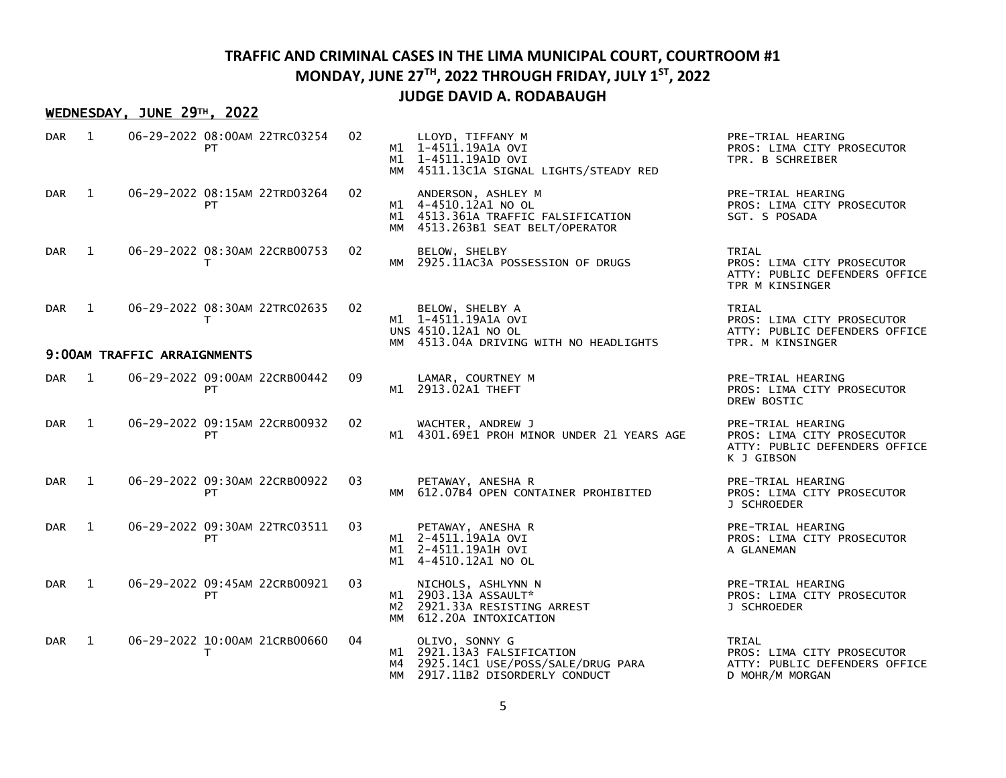#### WEDNESDAY, JUNE 29TH, 2022

| <b>DAR</b>       | 1              |                             | 06-29-2022 08:00AM 22TRC03254<br>PT           | 02 |    | LLOYD, TIFFANY M<br>M1 1-4511.19A1A OVI<br>M1 1-4511.19A1D OVI<br>MM 4511.13C1A SIGNAL LIGHTS/STEADY RED                | PRE-TRIAL HEARING<br>PROS: LIMA CITY PROSECUTOR<br>TPR. B SCHREIBER                            |
|------------------|----------------|-----------------------------|-----------------------------------------------|----|----|-------------------------------------------------------------------------------------------------------------------------|------------------------------------------------------------------------------------------------|
| <b>DAR</b>       | $\mathbf{1}$   |                             | 06-29-2022 08:15AM 22TRD03264<br>PT           | 02 |    | ANDERSON, ASHLEY M<br>M1 4-4510.12A1 NO OL<br>M1 4513.361A TRAFFIC FALSIFICATION<br>MM 4513.263B1 SEAT BELT/OPERATOR    | PRE-TRIAL HEARING<br>PROS: LIMA CITY PROSECUTOR<br>SGT. S POSADA                               |
| <b>DAR</b>       | $\overline{1}$ |                             | 06-29-2022 08:30AM 22CRB00753<br>т            | 02 |    | BELOW, SHELBY<br>MM 2925.11AC3A POSSESSION OF DRUGS                                                                     | TRIAL<br>PROS: LIMA CITY PROSECUTOR<br>ATTY: PUBLIC DEFENDERS OFFICE<br>TPR M KINSINGER        |
| <b>DAR</b>       | $\mathbf{1}$   |                             | 06-29-2022 08:30AM 22TRC02635<br>т            | 02 |    | BELOW, SHELBY A<br>M1 1-4511.19A1A OVI<br>UNS 4510.12A1 NO OL<br>MM 4513.04A DRIVING WITH NO HEADLIGHTS                 | TRIAL<br>PROS: LIMA CITY PROSECUTOR<br>ATTY: PUBLIC DEFENDERS OFFICE<br>TPR. M KINSINGER       |
|                  |                | 9:00AM TRAFFIC ARRAIGNMENTS |                                               |    |    |                                                                                                                         |                                                                                                |
| DAR <sub>1</sub> |                |                             | 06-29-2022 09:00AM 22CRB00442<br><b>PT</b>    | 09 |    | LAMAR, COURTNEY M<br>M1 2913.02A1 THEFT                                                                                 | PRE-TRIAL HEARING<br>PROS: LIMA CITY PROSECUTOR<br>DREW BOSTIC                                 |
| DAR <sub>1</sub> |                |                             | 06-29-2022 09:15AM 22CRB00932<br>PT           | 02 |    | WACHTER, ANDREW J<br>M1 4301.69E1 PROH MINOR UNDER 21 YEARS AGE                                                         | PRE-TRIAL HEARING<br>PROS: LIMA CITY PROSECUTOR<br>ATTY: PUBLIC DEFENDERS OFFICE<br>K J GIBSON |
| DAR <sub>1</sub> |                |                             | 06-29-2022 09:30AM 22CRB00922<br>PT           | 03 |    | PETAWAY, ANESHA R<br>MM 612.07B4 OPEN CONTAINER PROHIBITED                                                              | PRE-TRIAL HEARING<br>PROS: LIMA CITY PROSECUTOR<br>J SCHROEDER                                 |
| DAR <sub>1</sub> |                |                             | 06-29-2022 09:30AM 22TRC03511<br>PT           | 03 |    | PETAWAY, ANESHA R<br>M1 2-4511.19A1A OVI<br>M1 2-4511.19A1H OVI<br>M1 4-4510.12A1 NO OL                                 | PRE-TRIAL HEARING<br>PROS: LIMA CITY PROSECUTOR<br>A GLANEMAN                                  |
| DAR <sub>1</sub> |                |                             | 06-29-2022 09:45AM 22CRB00921<br>PT           | 03 | ММ | NICHOLS, ASHLYNN N<br>M1 2903.13A ASSAULT*<br>M2 2921.33A RESISTING ARREST<br>612.20A INTOXICATION                      | PRE-TRIAL HEARING<br>PROS: LIMA CITY PROSECUTOR<br>J SCHROEDER                                 |
| <b>DAR</b>       | $\mathbf{1}$   |                             | 06-29-2022 10:00AM 21CRB00660<br>$\mathsf{T}$ | 04 |    | OLIVO, SONNY G<br>M1 2921.13A3 FALSIFICATION<br>M4 2925.14C1 USE/POSS/SALE/DRUG PARA<br>MM 2917.11B2 DISORDERLY CONDUCT | TRIAL<br>PROS: LIMA CITY PROSECUTOR<br>ATTY: PUBLIC DEFENDERS OFFICE<br>D MOHR/M MORGAN        |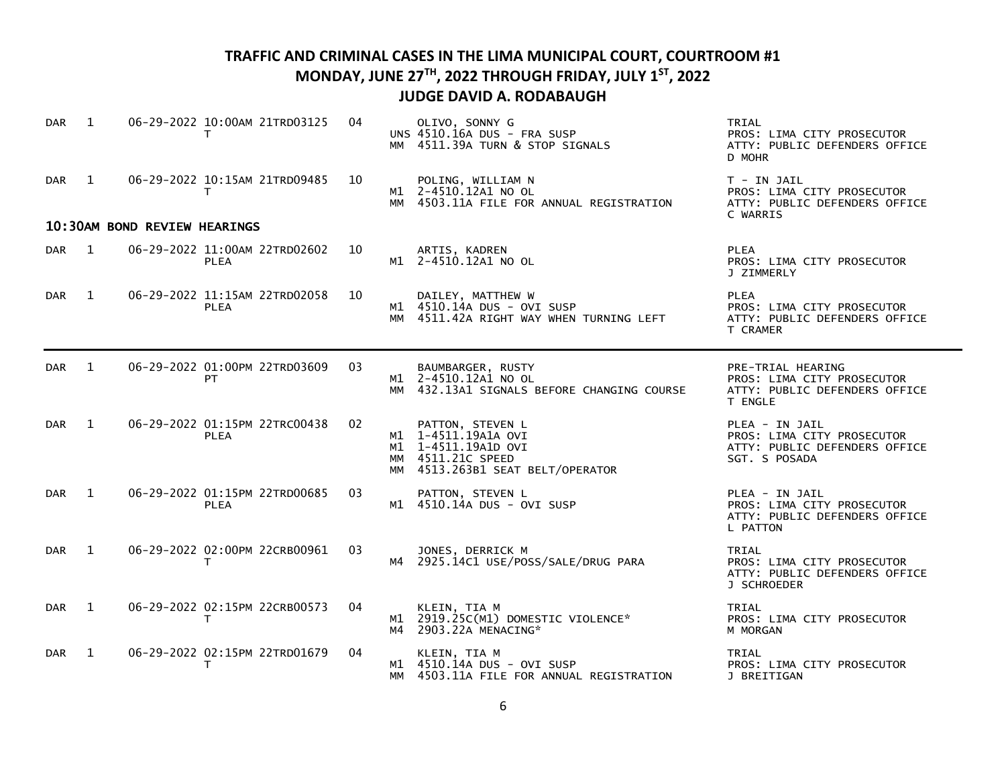| <b>DAR</b>       | 1              |                              | 06-29-2022 10:00AM 21TRD03125<br>T.          | 04 |          | OLIVO, SONNY G<br>UNS 4510.16A DUS - FRA SUSP<br>MM 4511.39A TURN & STOP SIGNALS                                        | TRIAL<br>PROS: LIMA CITY PROSECUTOR<br>ATTY: PUBLIC DEFENDERS OFFICE<br>D MOHR                 |
|------------------|----------------|------------------------------|----------------------------------------------|----|----------|-------------------------------------------------------------------------------------------------------------------------|------------------------------------------------------------------------------------------------|
| <b>DAR</b>       | $\overline{1}$ |                              | 06-29-2022 10:15AM 21TRD09485<br>T.          | 10 |          | POLING, WILLIAM N<br>M1 2-4510.12A1 NO OL<br>MM 4503.11A FILE FOR ANNUAL REGISTRATION                                   | $T - IN JAIL$<br>PROS: LIMA CITY PROSECUTOR<br>ATTY: PUBLIC DEFENDERS OFFICE<br>C WARRIS       |
|                  |                | 10:30AM BOND REVIEW HEARINGS |                                              |    |          |                                                                                                                         |                                                                                                |
| DAR <sub>1</sub> |                |                              | 06-29-2022 11:00AM 22TRD02602<br><b>PLEA</b> | 10 |          | ARTIS, KADREN<br>M1 2-4510.12A1 NO OL                                                                                   | <b>PLEA</b><br>PROS: LIMA CITY PROSECUTOR<br>J ZIMMERLY                                        |
| <b>DAR</b>       | $\overline{1}$ |                              | 06-29-2022 11:15AM 22TRD02058<br><b>PLEA</b> | 10 | МM       | DAILEY, MATTHEW W<br>M1 4510.14A DUS - OVI SUSP<br>4511.42A RIGHT WAY WHEN TURNING LEFT                                 | <b>PLEA</b><br>PROS: LIMA CITY PROSECUTOR<br>ATTY: PUBLIC DEFENDERS OFFICE<br>T CRAMER         |
| DAR              | $\mathbf{1}$   |                              | 06-29-2022 01:00PM 22TRD03609<br>PT.         | 03 |          | BAUMBARGER, RUSTY<br>M1 2-4510.12A1 NO OL<br>MM 432.13A1 SIGNALS BEFORE CHANGING COURSE                                 | PRE-TRIAL HEARING<br>PROS: LIMA CITY PROSECUTOR<br>ATTY: PUBLIC DEFENDERS OFFICE<br>T ENGLE    |
| <b>DAR</b>       | $\mathbf{1}$   |                              | 06-29-2022 01:15PM 22TRC00438<br><b>PLEA</b> | 02 |          | PATTON, STEVEN L<br>M1 1-4511.19A1A OVI<br>M1 1-4511.19A1D OVI<br>MM 4511.21C SPEED<br>MM 4513.263B1 SEAT BELT/OPERATOR | PLEA - IN JAIL<br>PROS: LIMA CITY PROSECUTOR<br>ATTY: PUBLIC DEFENDERS OFFICE<br>SGT. S POSADA |
| <b>DAR</b>       | $\mathbf{1}$   |                              | 06-29-2022 01:15PM 22TRD00685<br><b>PLEA</b> | 03 |          | PATTON, STEVEN L<br>M1 4510.14A DUS - OVI SUSP                                                                          | PLEA - IN JAIL<br>PROS: LIMA CITY PROSECUTOR<br>ATTY: PUBLIC DEFENDERS OFFICE<br>L PATTON      |
| <b>DAR</b>       | 1              |                              | 06-29-2022 02:00PM 22CRB00961<br>T.          | 03 |          | JONES, DERRICK M<br>M4 2925.14C1 USE/POSS/SALE/DRUG PARA                                                                | TRIAL<br>PROS: LIMA CITY PROSECUTOR<br>ATTY: PUBLIC DEFENDERS OFFICE<br>J SCHROEDER            |
| <b>DAR</b>       | 1              |                              | 06-29-2022 02:15PM 22CRB00573<br>T.          | 04 | M1<br>м4 | KLEIN, TIA M<br>2919.25C(M1) DOMESTIC VIOLENCE*<br>2903.22A MENACING*                                                   | TRIAL<br>PROS: LIMA CITY PROSECUTOR<br>M MORGAN                                                |
| <b>DAR</b>       | 1              |                              | 06-29-2022 02:15PM 22TRD01679<br>т           | 04 | MМ       | KLEIN, TIA M<br>M1 4510.14A DUS - OVI SUSP<br>4503.11A FILE FOR ANNUAL REGISTRATION                                     | TRIAL<br>PROS: LIMA CITY PROSECUTOR<br>J BREITIGAN                                             |